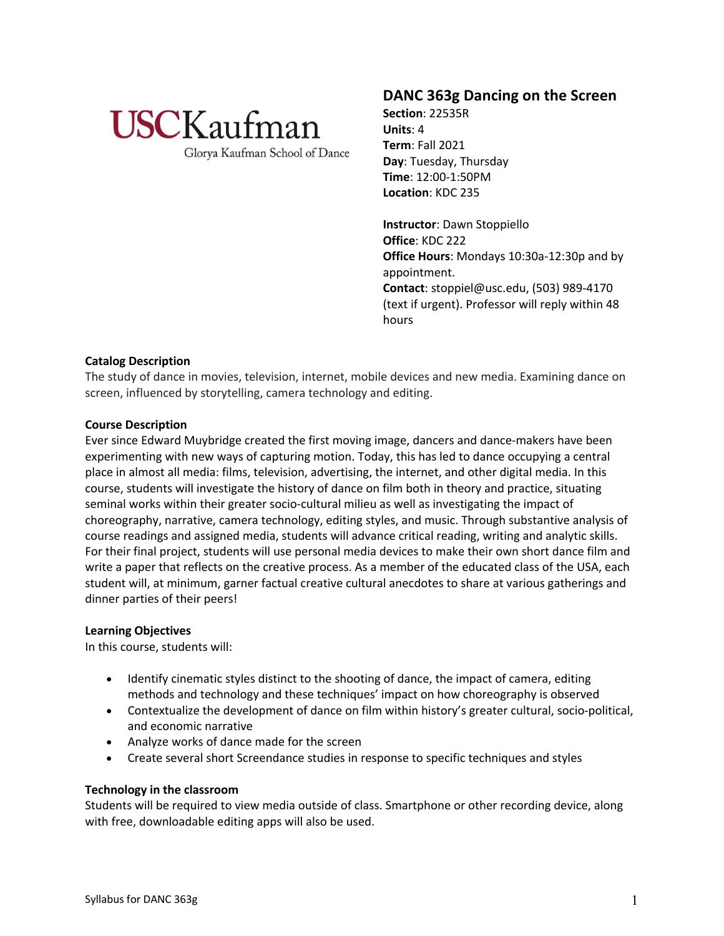

Glorya Kaufman School of Dance

## **DANC 363g Dancing on the Screen**

**Section**: 22535R **Units**: 4 **Term**: Fall 2021 **Day**: Tuesday, Thursday **Time**: 12:00-1:50PM **Location**: KDC 235

**Instructor**: Dawn Stoppiello **Office**: KDC 222 **Office Hours**: Mondays 10:30a-12:30p and by appointment. **Contact**: stoppiel@usc.edu, (503) 989-4170 (text if urgent). Professor will reply within 48 hours

## **Catalog Description**

The study of dance in movies, television, internet, mobile devices and new media. Examining dance on screen, influenced by storytelling, camera technology and editing.

## **Course Description**

Ever since Edward Muybridge created the first moving image, dancers and dance-makers have been experimenting with new ways of capturing motion. Today, this has led to dance occupying a central place in almost all media: films, television, advertising, the internet, and other digital media. In this course, students will investigate the history of dance on film both in theory and practice, situating seminal works within their greater socio-cultural milieu as well as investigating the impact of choreography, narrative, camera technology, editing styles, and music. Through substantive analysis of course readings and assigned media, students will advance critical reading, writing and analytic skills. For their final project, students will use personal media devices to make their own short dance film and write a paper that reflects on the creative process. As a member of the educated class of the USA, each student will, at minimum, garner factual creative cultural anecdotes to share at various gatherings and dinner parties of their peers!

## **Learning Objectives**

In this course, students will:

- Identify cinematic styles distinct to the shooting of dance, the impact of camera, editing methods and technology and these techniques' impact on how choreography is observed
- Contextualize the development of dance on film within history's greater cultural, socio-political, and economic narrative
- Analyze works of dance made for the screen
- Create several short Screendance studies in response to specific techniques and styles

## **Technology in the classroom**

Students will be required to view media outside of class. Smartphone or other recording device, along with free, downloadable editing apps will also be used.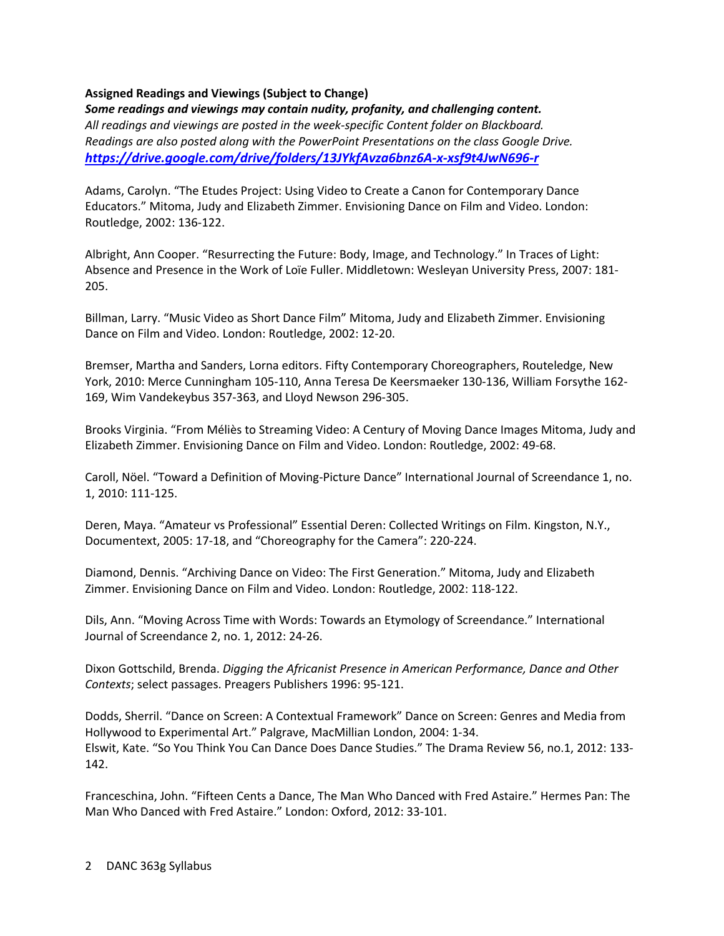## **Assigned Readings and Viewings (Subject to Change)**

*Some readings and viewings may contain nudity, profanity, and challenging content. All readings and viewings are posted in the week-specific Content folder on Blackboard. Readings are also posted along with the PowerPoint Presentations on the class Google Drive. https://drive.google.com/drive/folders/13JYkfAvza6bnz6A-x-xsf9t4JwN696-r*

Adams, Carolyn. "The Etudes Project: Using Video to Create a Canon for Contemporary Dance Educators." Mitoma, Judy and Elizabeth Zimmer. Envisioning Dance on Film and Video. London: Routledge, 2002: 136-122.

Albright, Ann Cooper. "Resurrecting the Future: Body, Image, and Technology." In Traces of Light: Absence and Presence in the Work of Loïe Fuller. Middletown: Wesleyan University Press, 2007: 181- 205.

Billman, Larry. "Music Video as Short Dance Film" Mitoma, Judy and Elizabeth Zimmer. Envisioning Dance on Film and Video. London: Routledge, 2002: 12-20.

Bremser, Martha and Sanders, Lorna editors. Fifty Contemporary Choreographers, Routeledge, New York, 2010: Merce Cunningham 105-110, Anna Teresa De Keersmaeker 130-136, William Forsythe 162- 169, Wim Vandekeybus 357-363, and Lloyd Newson 296-305.

Brooks Virginia. "From Méliès to Streaming Video: A Century of Moving Dance Images Mitoma, Judy and Elizabeth Zimmer. Envisioning Dance on Film and Video. London: Routledge, 2002: 49-68.

Caroll, Nöel. "Toward a Definition of Moving-Picture Dance" International Journal of Screendance 1, no. 1, 2010: 111-125.

Deren, Maya. "Amateur vs Professional" Essential Deren: Collected Writings on Film. Kingston, N.Y., Documentext, 2005: 17-18, and "Choreography for the Camera": 220-224.

Diamond, Dennis. "Archiving Dance on Video: The First Generation." Mitoma, Judy and Elizabeth Zimmer. Envisioning Dance on Film and Video. London: Routledge, 2002: 118-122.

Dils, Ann. "Moving Across Time with Words: Towards an Etymology of Screendance." International Journal of Screendance 2, no. 1, 2012: 24-26.

Dixon Gottschild, Brenda. *Digging the Africanist Presence in American Performance, Dance and Other Contexts*; select passages. Preagers Publishers 1996: 95-121.

Dodds, Sherril. "Dance on Screen: A Contextual Framework" Dance on Screen: Genres and Media from Hollywood to Experimental Art." Palgrave, MacMillian London, 2004: 1-34. Elswit, Kate. "So You Think You Can Dance Does Dance Studies." The Drama Review 56, no.1, 2012: 133- 142.

Franceschina, John. "Fifteen Cents a Dance, The Man Who Danced with Fred Astaire." Hermes Pan: The Man Who Danced with Fred Astaire." London: Oxford, 2012: 33-101.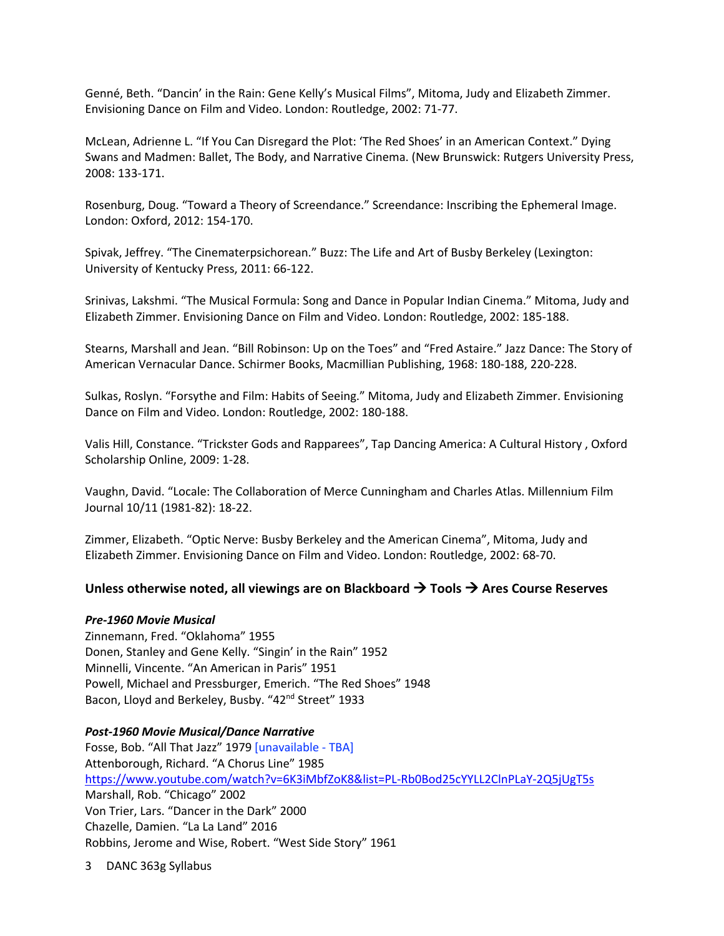Genné, Beth. "Dancin' in the Rain: Gene Kelly's Musical Films", Mitoma, Judy and Elizabeth Zimmer. Envisioning Dance on Film and Video. London: Routledge, 2002: 71-77.

McLean, Adrienne L. "If You Can Disregard the Plot: 'The Red Shoes' in an American Context." Dying Swans and Madmen: Ballet, The Body, and Narrative Cinema. (New Brunswick: Rutgers University Press, 2008: 133-171.

Rosenburg, Doug. "Toward a Theory of Screendance." Screendance: Inscribing the Ephemeral Image. London: Oxford, 2012: 154-170.

Spivak, Jeffrey. "The Cinematerpsichorean." Buzz: The Life and Art of Busby Berkeley (Lexington: University of Kentucky Press, 2011: 66-122.

Srinivas, Lakshmi. "The Musical Formula: Song and Dance in Popular Indian Cinema." Mitoma, Judy and Elizabeth Zimmer. Envisioning Dance on Film and Video. London: Routledge, 2002: 185-188.

Stearns, Marshall and Jean. "Bill Robinson: Up on the Toes" and "Fred Astaire." Jazz Dance: The Story of American Vernacular Dance. Schirmer Books, Macmillian Publishing, 1968: 180-188, 220-228.

Sulkas, Roslyn. "Forsythe and Film: Habits of Seeing." Mitoma, Judy and Elizabeth Zimmer. Envisioning Dance on Film and Video. London: Routledge, 2002: 180-188.

Valis Hill, Constance. "Trickster Gods and Rapparees", Tap Dancing America: A Cultural History , Oxford Scholarship Online, 2009: 1-28.

Vaughn, David. "Locale: The Collaboration of Merce Cunningham and Charles Atlas. Millennium Film Journal 10/11 (1981-82): 18-22.

Zimmer, Elizabeth. "Optic Nerve: Busby Berkeley and the American Cinema", Mitoma, Judy and Elizabeth Zimmer. Envisioning Dance on Film and Video. London: Routledge, 2002: 68-70.

## **Unless otherwise noted, all viewings are on Blackboard** à **Tools** à **Ares Course Reserves**

#### *Pre-1960 Movie Musical*

Zinnemann, Fred. "Oklahoma" 1955 Donen, Stanley and Gene Kelly. "Singin' in the Rain" 1952 Minnelli, Vincente. "An American in Paris" 1951 Powell, Michael and Pressburger, Emerich. "The Red Shoes" 1948 Bacon, Lloyd and Berkeley, Busby. "42<sup>nd</sup> Street" 1933

#### *Post-1960 Movie Musical/Dance Narrative*

Fosse, Bob. "All That Jazz" 1979 [unavailable - TBA] Attenborough, Richard. "A Chorus Line" 1985 https://www.youtube.com/watch?v=6K3iMbfZoK8&list=PL-Rb0Bod25cYYLL2ClnPLaY-2Q5jUgT5s Marshall, Rob. "Chicago" 2002 Von Trier, Lars. "Dancer in the Dark" 2000 Chazelle, Damien. "La La Land" 2016 Robbins, Jerome and Wise, Robert. "West Side Story" 1961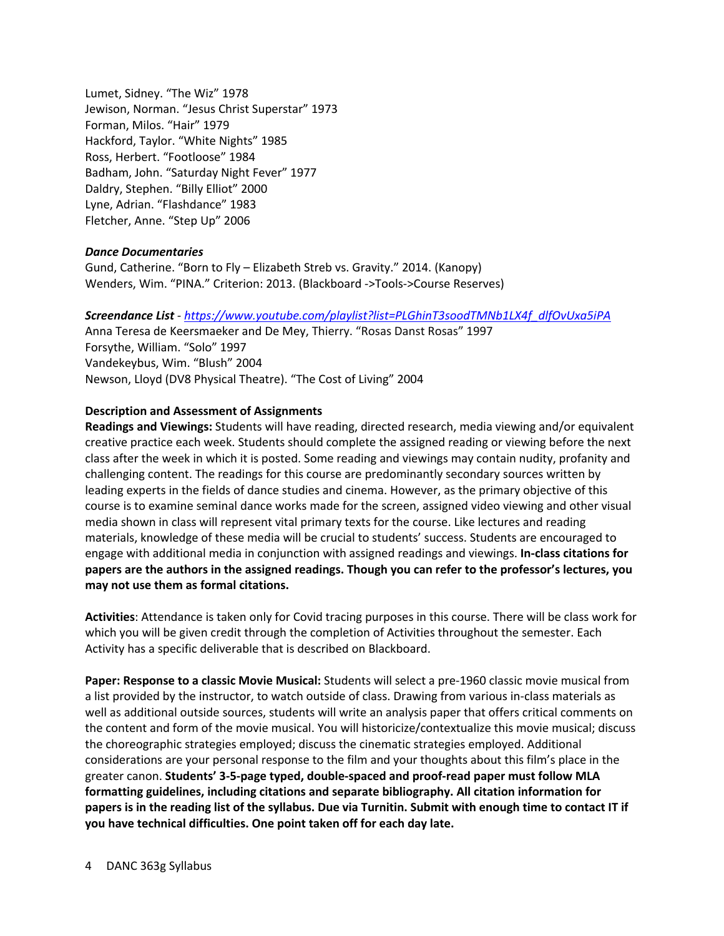Lumet, Sidney. "The Wiz" 1978 Jewison, Norman. "Jesus Christ Superstar" 1973 Forman, Milos. "Hair" 1979 Hackford, Taylor. "White Nights" 1985 Ross, Herbert. "Footloose" 1984 Badham, John. "Saturday Night Fever" 1977 Daldry, Stephen. "Billy Elliot" 2000 Lyne, Adrian. "Flashdance" 1983 Fletcher, Anne. "Step Up" 2006

#### *Dance Documentaries*

Gund, Catherine. "Born to Fly – Elizabeth Streb vs. Gravity." 2014. (Kanopy) Wenders, Wim. "PINA." Criterion: 2013. (Blackboard ->Tools->Course Reserves)

*Screendance List - https://www.youtube.com/playlist?list=PLGhinT3soodTMNb1LX4f\_dlfOvUxa5iPA*

Anna Teresa de Keersmaeker and De Mey, Thierry. "Rosas Danst Rosas" 1997 Forsythe, William. "Solo" 1997 Vandekeybus, Wim. "Blush" 2004 Newson, Lloyd (DV8 Physical Theatre). "The Cost of Living" 2004

#### **Description and Assessment of Assignments**

**Readings and Viewings:** Students will have reading, directed research, media viewing and/or equivalent creative practice each week. Students should complete the assigned reading or viewing before the next class after the week in which it is posted. Some reading and viewings may contain nudity, profanity and challenging content. The readings for this course are predominantly secondary sources written by leading experts in the fields of dance studies and cinema. However, as the primary objective of this course is to examine seminal dance works made for the screen, assigned video viewing and other visual media shown in class will represent vital primary texts for the course. Like lectures and reading materials, knowledge of these media will be crucial to students' success. Students are encouraged to engage with additional media in conjunction with assigned readings and viewings. **In-class citations for papers are the authors in the assigned readings. Though you can refer to the professor's lectures, you may not use them as formal citations.**

**Activities**: Attendance is taken only for Covid tracing purposes in this course. There will be class work for which you will be given credit through the completion of Activities throughout the semester. Each Activity has a specific deliverable that is described on Blackboard.

**Paper: Response to a classic Movie Musical:** Students will select a pre-1960 classic movie musical from a list provided by the instructor, to watch outside of class. Drawing from various in-class materials as well as additional outside sources, students will write an analysis paper that offers critical comments on the content and form of the movie musical. You will historicize/contextualize this movie musical; discuss the choreographic strategies employed; discuss the cinematic strategies employed. Additional considerations are your personal response to the film and your thoughts about this film's place in the greater canon. **Students' 3-5-page typed, double-spaced and proof-read paper must follow MLA formatting guidelines, including citations and separate bibliography. All citation information for papers is in the reading list of the syllabus. Due via Turnitin. Submit with enough time to contact IT if you have technical difficulties. One point taken off for each day late.**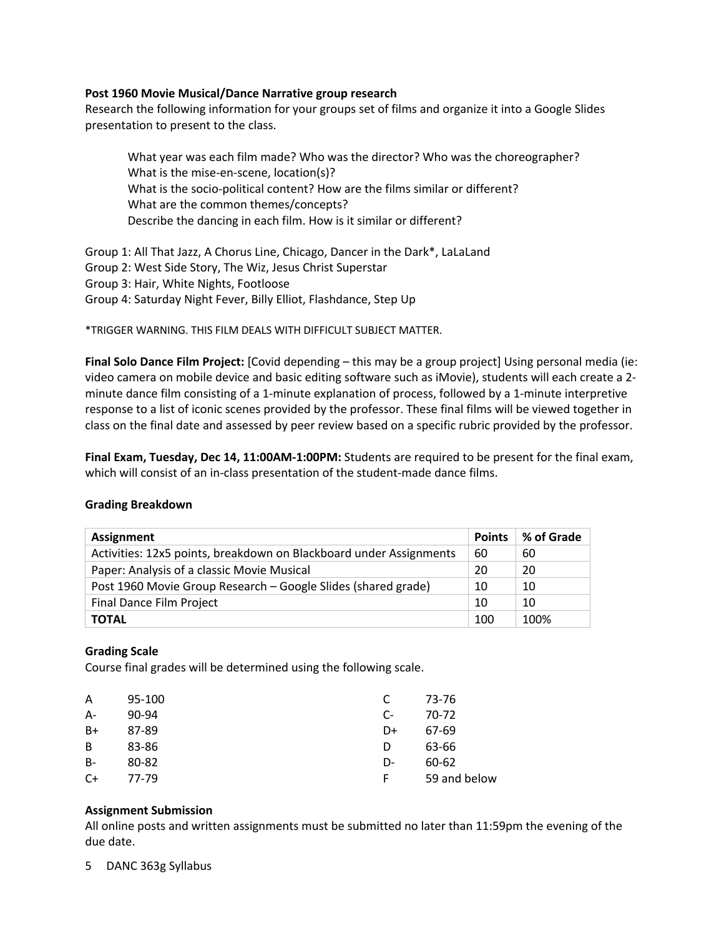#### **Post 1960 Movie Musical/Dance Narrative group research**

Research the following information for your groups set of films and organize it into a Google Slides presentation to present to the class.

What year was each film made? Who was the director? Who was the choreographer? What is the mise-en-scene, location(s)? What is the socio-political content? How are the films similar or different? What are the common themes/concepts? Describe the dancing in each film. How is it similar or different?

Group 1: All That Jazz, A Chorus Line, Chicago, Dancer in the Dark\*, LaLaLand Group 2: West Side Story, The Wiz, Jesus Christ Superstar Group 3: Hair, White Nights, Footloose Group 4: Saturday Night Fever, Billy Elliot, Flashdance, Step Up

\*TRIGGER WARNING. THIS FILM DEALS WITH DIFFICULT SUBJECT MATTER.

**Final Solo Dance Film Project:** [Covid depending – this may be a group project] Using personal media (ie: video camera on mobile device and basic editing software such as iMovie), students will each create a 2 minute dance film consisting of a 1-minute explanation of process, followed by a 1-minute interpretive response to a list of iconic scenes provided by the professor. These final films will be viewed together in class on the final date and assessed by peer review based on a specific rubric provided by the professor.

**Final Exam, Tuesday, Dec 14, 11:00AM-1:00PM:** Students are required to be present for the final exam, which will consist of an in-class presentation of the student-made dance films.

#### **Grading Breakdown**

| <b>Assignment</b>                                                  | <b>Points</b> | % of Grade |
|--------------------------------------------------------------------|---------------|------------|
| Activities: 12x5 points, breakdown on Blackboard under Assignments | 60            | 60         |
| Paper: Analysis of a classic Movie Musical                         | 20            | 20         |
| Post 1960 Movie Group Research - Google Slides (shared grade)      | 10            | 10         |
| <b>Final Dance Film Project</b>                                    | 10            | 10         |
| <b>TOTAL</b>                                                       | 100           | 100%       |

## **Grading Scale**

Course final grades will be determined using the following scale.

| A     | 95-100 |      | 73-76        |
|-------|--------|------|--------------|
| $A-$  | 90-94  | $C-$ | 70-72        |
| B+    | 87-89  | D+   | 67-69        |
| B     | 83-86  | D    | 63-66        |
| $B -$ | 80-82  | D-   | 60-62        |
| C+    | 77-79  | F    | 59 and below |
|       |        |      |              |

#### **Assignment Submission**

All online posts and written assignments must be submitted no later than 11:59pm the evening of the due date.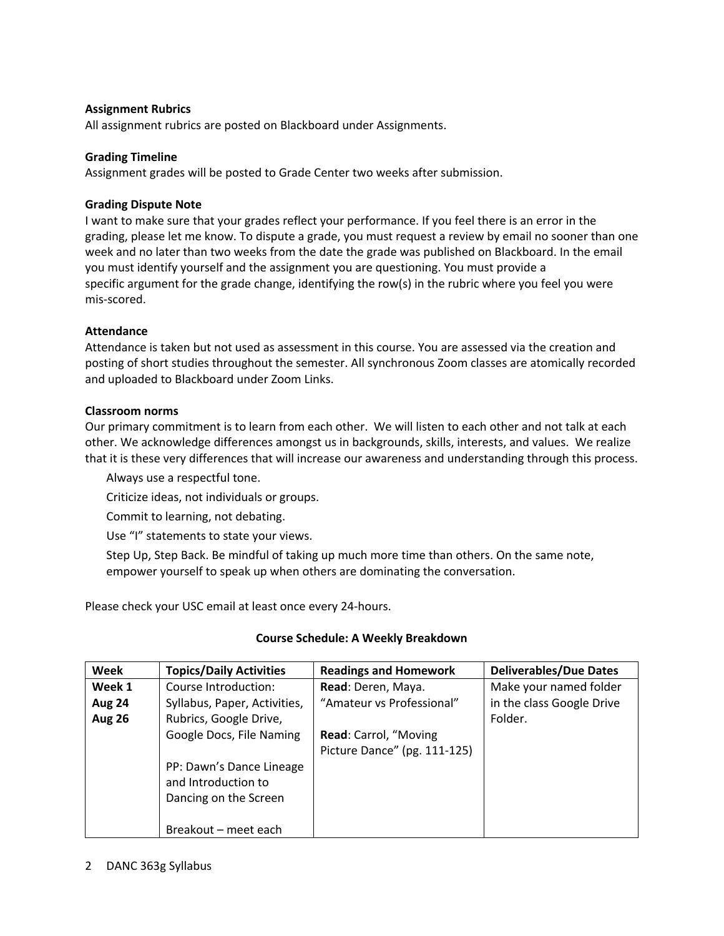## **Assignment Rubrics**

All assignment rubrics are posted on Blackboard under Assignments.

#### **Grading Timeline**

Assignment grades will be posted to Grade Center two weeks after submission.

#### **Grading Dispute Note**

I want to make sure that your grades reflect your performance. If you feel there is an error in the grading, please let me know. To dispute a grade, you must request a review by email no sooner than one week and no later than two weeks from the date the grade was published on Blackboard. In the email you must identify yourself and the assignment you are questioning. You must provide a specific argument for the grade change, identifying the row(s) in the rubric where you feel you were mis-scored.

#### **Attendance**

Attendance is taken but not used as assessment in this course. You are assessed via the creation and posting of short studies throughout the semester. All synchronous Zoom classes are atomically recorded and uploaded to Blackboard under Zoom Links.

#### **Classroom norms**

Our primary commitment is to learn from each other. We will listen to each other and not talk at each other. We acknowledge differences amongst us in backgrounds, skills, interests, and values. We realize that it is these very differences that will increase our awareness and understanding through this process.

Always use a respectful tone.

Criticize ideas, not individuals or groups.

Commit to learning, not debating.

Use "I" statements to state your views.

Step Up, Step Back. Be mindful of taking up much more time than others. On the same note, empower yourself to speak up when others are dominating the conversation.

Please check your USC email at least once every 24-hours.

#### **Course Schedule: A Weekly Breakdown**

| Week          | <b>Topics/Daily Activities</b> | <b>Readings and Homework</b> | <b>Deliverables/Due Dates</b> |
|---------------|--------------------------------|------------------------------|-------------------------------|
| Week 1        | Course Introduction:           | Read: Deren, Maya.           | Make your named folder        |
| <b>Aug 24</b> | Syllabus, Paper, Activities,   | "Amateur vs Professional"    | in the class Google Drive     |
| <b>Aug 26</b> | Rubrics, Google Drive,         |                              | Folder.                       |
|               | Google Docs, File Naming       | Read: Carrol, "Moving        |                               |
|               |                                | Picture Dance" (pg. 111-125) |                               |
|               | PP: Dawn's Dance Lineage       |                              |                               |
|               | and Introduction to            |                              |                               |
|               | Dancing on the Screen          |                              |                               |
|               |                                |                              |                               |
|               | Breakout – meet each           |                              |                               |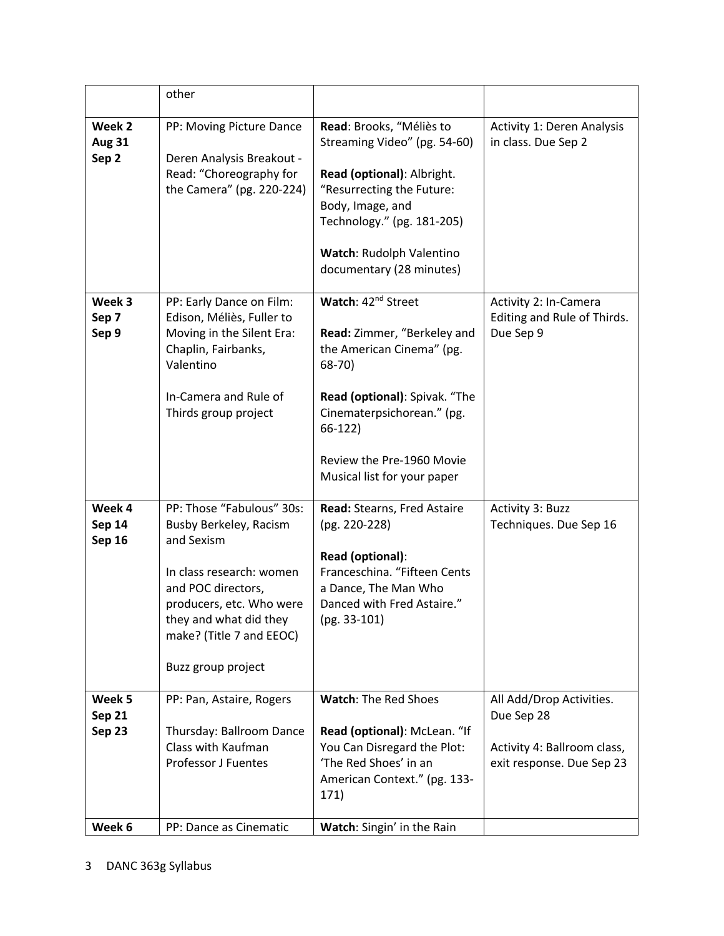|                                          | other                                                                                                                                                                                                                       |                                                                                                                                                                                                                                              |                                                                                                    |
|------------------------------------------|-----------------------------------------------------------------------------------------------------------------------------------------------------------------------------------------------------------------------------|----------------------------------------------------------------------------------------------------------------------------------------------------------------------------------------------------------------------------------------------|----------------------------------------------------------------------------------------------------|
| Week 2<br><b>Aug 31</b><br>Sep 2         | PP: Moving Picture Dance<br>Deren Analysis Breakout -<br>Read: "Choreography for<br>the Camera" (pg. 220-224)                                                                                                               | Read: Brooks, "Méliès to<br>Streaming Video" (pg. 54-60)<br>Read (optional): Albright.<br>"Resurrecting the Future:<br>Body, Image, and<br>Technology." (pg. 181-205)<br>Watch: Rudolph Valentino<br>documentary (28 minutes)                | <b>Activity 1: Deren Analysis</b><br>in class. Due Sep 2                                           |
| Week 3<br>Sep 7<br>Sep 9                 | PP: Early Dance on Film:<br>Edison, Méliès, Fuller to<br>Moving in the Silent Era:<br>Chaplin, Fairbanks,<br>Valentino<br>In-Camera and Rule of<br>Thirds group project                                                     | Watch: 42 <sup>nd</sup> Street<br>Read: Zimmer, "Berkeley and<br>the American Cinema" (pg.<br>$68-70$<br>Read (optional): Spivak. "The<br>Cinematerpsichorean." (pg.<br>$66-122$<br>Review the Pre-1960 Movie<br>Musical list for your paper | Activity 2: In-Camera<br>Editing and Rule of Thirds.<br>Due Sep 9                                  |
| Week 4<br><b>Sep 14</b><br><b>Sep 16</b> | PP: Those "Fabulous" 30s:<br>Busby Berkeley, Racism<br>and Sexism<br>In class research: women<br>and POC directors,<br>producers, etc. Who were<br>they and what did they<br>make? (Title 7 and EEOC)<br>Buzz group project | Read: Stearns, Fred Astaire<br>(pg. 220-228)<br>Read (optional):<br>Franceschina. "Fifteen Cents<br>a Dance, The Man Who<br>Danced with Fred Astaire."<br>(pg. 33-101)                                                                       | Activity 3: Buzz<br>Techniques. Due Sep 16                                                         |
| Week 5<br>Sep 21<br>Sep 23               | PP: Pan, Astaire, Rogers<br>Thursday: Ballroom Dance<br>Class with Kaufman<br><b>Professor J Fuentes</b>                                                                                                                    | <b>Watch: The Red Shoes</b><br>Read (optional): McLean. "If<br>You Can Disregard the Plot:<br>'The Red Shoes' in an<br>American Context." (pg. 133-<br>171)                                                                                  | All Add/Drop Activities.<br>Due Sep 28<br>Activity 4: Ballroom class,<br>exit response. Due Sep 23 |
| Week 6                                   | PP: Dance as Cinematic                                                                                                                                                                                                      | Watch: Singin' in the Rain                                                                                                                                                                                                                   |                                                                                                    |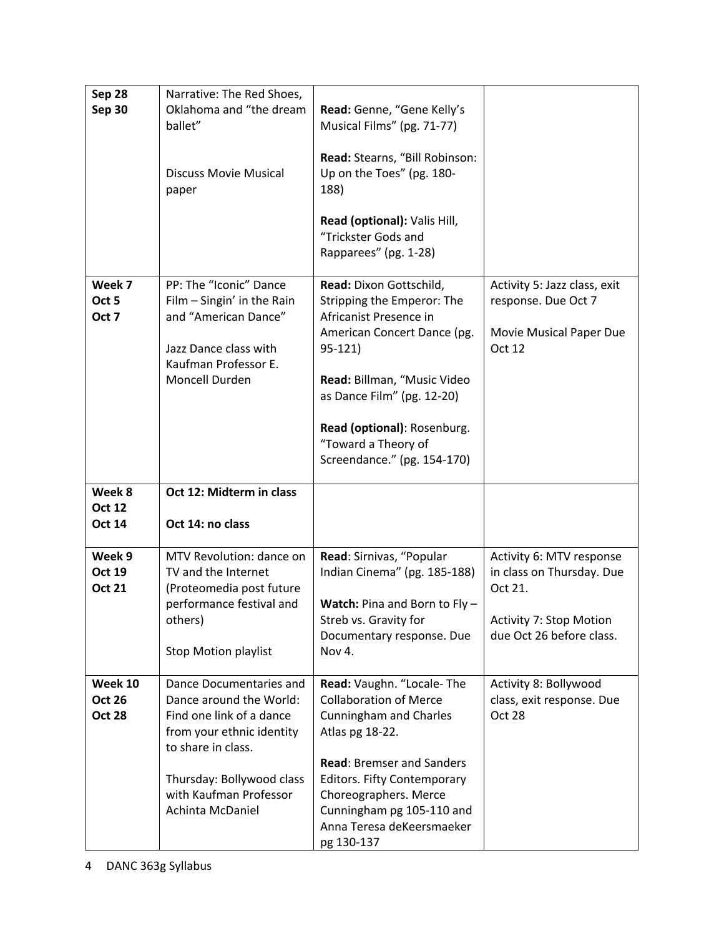| Sep 28                   | Narrative: The Red Shoes,                                                                                                                       |                                                                                                                                                                                         |                                                                                          |
|--------------------------|-------------------------------------------------------------------------------------------------------------------------------------------------|-----------------------------------------------------------------------------------------------------------------------------------------------------------------------------------------|------------------------------------------------------------------------------------------|
| <b>Sep 30</b>            | Oklahoma and "the dream                                                                                                                         | Read: Genne, "Gene Kelly's                                                                                                                                                              |                                                                                          |
|                          | ballet"                                                                                                                                         | Musical Films" (pg. 71-77)                                                                                                                                                              |                                                                                          |
|                          | <b>Discuss Movie Musical</b><br>paper                                                                                                           | Read: Stearns, "Bill Robinson:<br>Up on the Toes" (pg. 180-<br>188)                                                                                                                     |                                                                                          |
|                          |                                                                                                                                                 | Read (optional): Valis Hill,<br>"Trickster Gods and<br>Rapparees" (pg. 1-28)                                                                                                            |                                                                                          |
| Week 7<br>Oct 5<br>Oct 7 | PP: The "Iconic" Dance<br>Film - Singin' in the Rain<br>and "American Dance"<br>Jazz Dance class with<br>Kaufman Professor E.<br>Moncell Durden | Read: Dixon Gottschild,<br>Stripping the Emperor: The<br>Africanist Presence in<br>American Concert Dance (pg.<br>$95-121$<br>Read: Billman, "Music Video<br>as Dance Film" (pg. 12-20) | Activity 5: Jazz class, exit<br>response. Due Oct 7<br>Movie Musical Paper Due<br>Oct 12 |
|                          |                                                                                                                                                 | Read (optional): Rosenburg.<br>"Toward a Theory of<br>Screendance." (pg. 154-170)                                                                                                       |                                                                                          |
|                          |                                                                                                                                                 |                                                                                                                                                                                         |                                                                                          |
| Week 8                   | Oct 12: Midterm in class                                                                                                                        |                                                                                                                                                                                         |                                                                                          |
| <b>Oct 12</b>            |                                                                                                                                                 |                                                                                                                                                                                         |                                                                                          |
| <b>Oct 14</b>            | Oct 14: no class                                                                                                                                |                                                                                                                                                                                         |                                                                                          |
|                          |                                                                                                                                                 |                                                                                                                                                                                         |                                                                                          |
| Week 9<br>Oct 19         | MTV Revolution: dance on                                                                                                                        | Read: Sirnivas, "Popular                                                                                                                                                                | Activity 6: MTV response                                                                 |
| <b>Oct 21</b>            | TV and the Internet<br>(Proteomedia post future                                                                                                 | Indian Cinema" (pg. 185-188)                                                                                                                                                            | in class on Thursday. Due<br>Oct 21.                                                     |
|                          | performance festival and                                                                                                                        | Watch: Pina and Born to Fly -                                                                                                                                                           |                                                                                          |
|                          | others)                                                                                                                                         | Streb vs. Gravity for                                                                                                                                                                   | <b>Activity 7: Stop Motion</b>                                                           |
|                          |                                                                                                                                                 | Documentary response. Due                                                                                                                                                               | due Oct 26 before class.                                                                 |
|                          | <b>Stop Motion playlist</b>                                                                                                                     | Nov 4.                                                                                                                                                                                  |                                                                                          |
| Week 10                  | Dance Documentaries and                                                                                                                         | Read: Vaughn. "Locale-The                                                                                                                                                               | Activity 8: Bollywood                                                                    |
| <b>Oct 26</b>            | Dance around the World:                                                                                                                         | <b>Collaboration of Merce</b>                                                                                                                                                           | class, exit response. Due                                                                |
| <b>Oct 28</b>            | Find one link of a dance                                                                                                                        | <b>Cunningham and Charles</b>                                                                                                                                                           | <b>Oct 28</b>                                                                            |
|                          | from your ethnic identity<br>to share in class.                                                                                                 | Atlas pg 18-22.                                                                                                                                                                         |                                                                                          |
|                          |                                                                                                                                                 | <b>Read: Bremser and Sanders</b>                                                                                                                                                        |                                                                                          |
|                          | Thursday: Bollywood class                                                                                                                       | <b>Editors. Fifty Contemporary</b>                                                                                                                                                      |                                                                                          |
|                          | with Kaufman Professor                                                                                                                          | Choreographers. Merce                                                                                                                                                                   |                                                                                          |
|                          | Achinta McDaniel                                                                                                                                | Cunningham pg 105-110 and<br>Anna Teresa deKeersmaeker                                                                                                                                  |                                                                                          |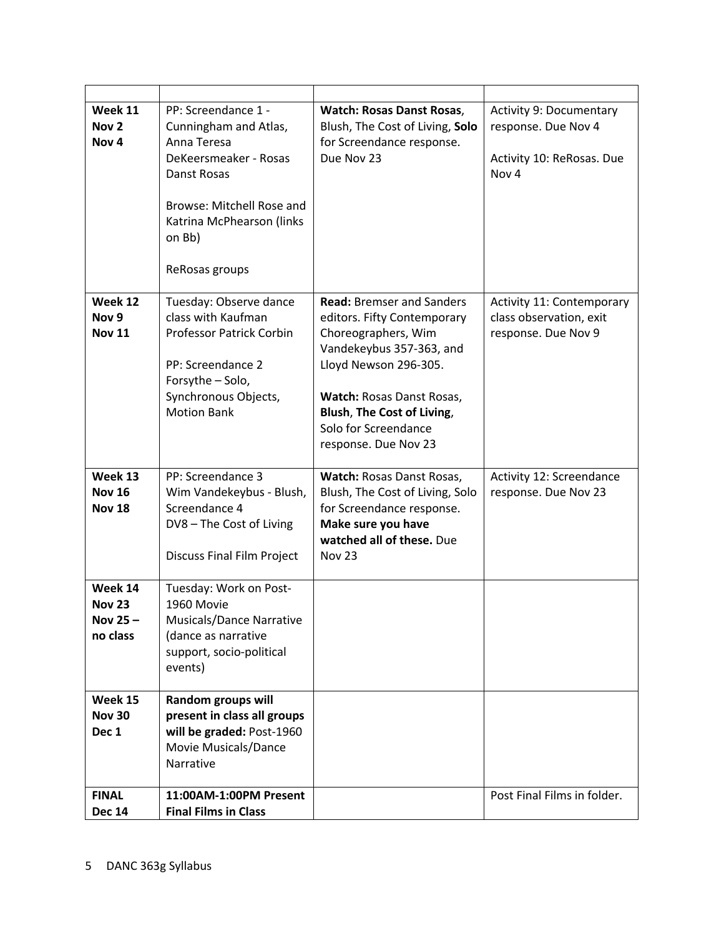| Week 11<br>Nov <sub>2</sub><br>Nov <sub>4</sub> | PP: Screendance 1 -<br>Cunningham and Atlas,<br>Anna Teresa<br>DeKeersmeaker - Rosas<br>Danst Rosas<br>Browse: Mitchell Rose and<br>Katrina McPhearson (links<br>on Bb)<br>ReRosas groups | <b>Watch: Rosas Danst Rosas,</b><br>Blush, The Cost of Living, Solo<br>for Screendance response.<br>Due Nov 23                                                                                                                                         | <b>Activity 9: Documentary</b><br>response. Due Nov 4<br>Activity 10: ReRosas. Due<br>Nov <sub>4</sub> |
|-------------------------------------------------|-------------------------------------------------------------------------------------------------------------------------------------------------------------------------------------------|--------------------------------------------------------------------------------------------------------------------------------------------------------------------------------------------------------------------------------------------------------|--------------------------------------------------------------------------------------------------------|
| Week 12<br>Nov <sub>9</sub><br><b>Nov 11</b>    | Tuesday: Observe dance<br>class with Kaufman<br><b>Professor Patrick Corbin</b><br>PP: Screendance 2<br>Forsythe - Solo,<br>Synchronous Objects,<br><b>Motion Bank</b>                    | <b>Read:</b> Bremser and Sanders<br>editors. Fifty Contemporary<br>Choreographers, Wim<br>Vandekeybus 357-363, and<br>Lloyd Newson 296-305.<br>Watch: Rosas Danst Rosas,<br>Blush, The Cost of Living,<br>Solo for Screendance<br>response. Due Nov 23 | Activity 11: Contemporary<br>class observation, exit<br>response. Due Nov 9                            |
| Week 13<br><b>Nov 16</b><br><b>Nov 18</b>       | PP: Screendance 3<br>Wim Vandekeybus - Blush,<br>Screendance 4<br>DV8 - The Cost of Living<br><b>Discuss Final Film Project</b>                                                           | Watch: Rosas Danst Rosas,<br>Blush, The Cost of Living, Solo<br>for Screendance response.<br>Make sure you have<br>watched all of these. Due<br><b>Nov 23</b>                                                                                          | Activity 12: Screendance<br>response. Due Nov 23                                                       |
| Week 14<br><b>Nov 23</b><br>Nov 25-<br>no class | Tuesday: Work on Post-<br>1960 Movie<br>Musicals/Dance Narrative<br>(dance as narrative<br>support, socio-political<br>events)                                                            |                                                                                                                                                                                                                                                        |                                                                                                        |
| Week 15<br><b>Nov 30</b><br>Dec 1               | <b>Random groups will</b><br>present in class all groups<br>will be graded: Post-1960<br>Movie Musicals/Dance<br>Narrative                                                                |                                                                                                                                                                                                                                                        |                                                                                                        |
| <b>FINAL</b><br><b>Dec 14</b>                   | 11:00AM-1:00PM Present<br><b>Final Films in Class</b>                                                                                                                                     |                                                                                                                                                                                                                                                        | Post Final Films in folder.                                                                            |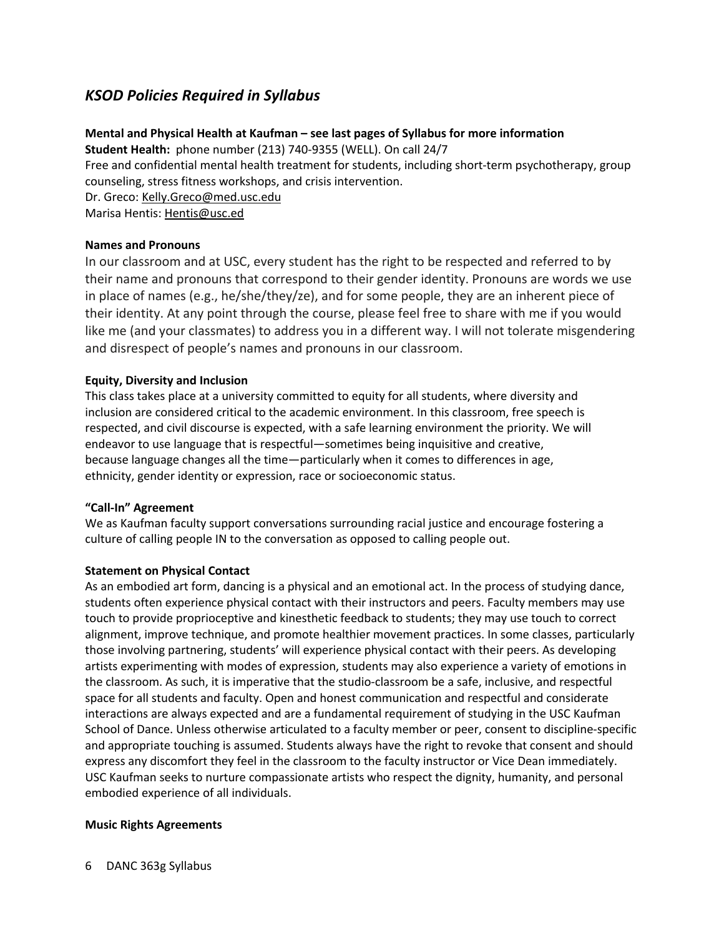# *KSOD Policies Required in Syllabus*

## **Mental and Physical Health at Kaufman – see last pages of Syllabus for more information**

**Student Health:** phone number (213) 740-9355 (WELL). On call 24/7

Free and confidential mental health treatment for students, including short-term psychotherapy, group counseling, stress fitness workshops, and crisis intervention.

Dr. Greco: Kelly.Greco@med.usc.edu

Marisa Hentis: Hentis@usc.ed

## **Names and Pronouns**

In our classroom and at USC, every student has the right to be respected and referred to by their name and pronouns that correspond to their gender identity. Pronouns are words we use in place of names (e.g., he/she/they/ze), and for some people, they are an inherent piece of their identity. At any point through the course, please feel free to share with me if you would like me (and your classmates) to address you in a different way. I will not tolerate misgendering and disrespect of people's names and pronouns in our classroom.

## **Equity, Diversity and Inclusion**

This class takes place at a university committed to equity for all students, where diversity and inclusion are considered critical to the academic environment. In this classroom, free speech is respected, and civil discourse is expected, with a safe learning environment the priority. We will endeavor to use language that is respectful—sometimes being inquisitive and creative, because language changes all the time—particularly when it comes to differences in age, ethnicity, gender identity or expression, race or socioeconomic status.

## **"Call-In" Agreement**

We as Kaufman faculty support conversations surrounding racial justice and encourage fostering a culture of calling people IN to the conversation as opposed to calling people out.

## **Statement on Physical Contact**

As an embodied art form, dancing is a physical and an emotional act. In the process of studying dance, students often experience physical contact with their instructors and peers. Faculty members may use touch to provide proprioceptive and kinesthetic feedback to students; they may use touch to correct alignment, improve technique, and promote healthier movement practices. In some classes, particularly those involving partnering, students' will experience physical contact with their peers. As developing artists experimenting with modes of expression, students may also experience a variety of emotions in the classroom. As such, it is imperative that the studio-classroom be a safe, inclusive, and respectful space for all students and faculty. Open and honest communication and respectful and considerate interactions are always expected and are a fundamental requirement of studying in the USC Kaufman School of Dance. Unless otherwise articulated to a faculty member or peer, consent to discipline-specific and appropriate touching is assumed. Students always have the right to revoke that consent and should express any discomfort they feel in the classroom to the faculty instructor or Vice Dean immediately. USC Kaufman seeks to nurture compassionate artists who respect the dignity, humanity, and personal embodied experience of all individuals.

## **Music Rights Agreements**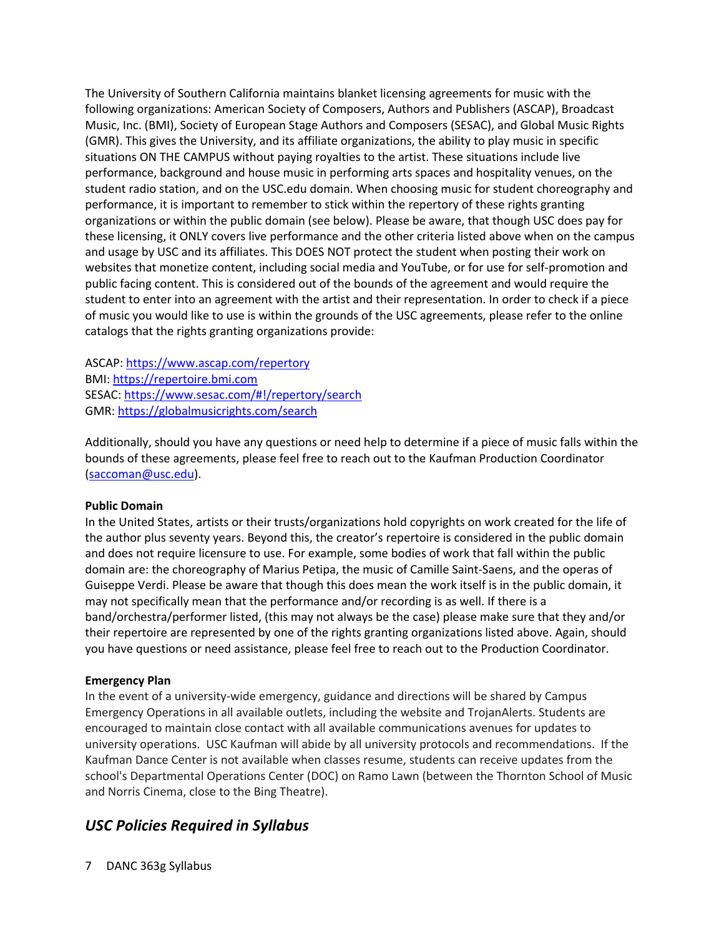The University of Southern California maintains blanket licensing agreements for music with the following organizations: American Society of Composers, Authors and Publishers (ASCAP), Broadcast Music, Inc. (BMI), Society of European Stage Authors and Composers (SESAC), and Global Music Rights (GMR). This gives the University, and its affiliate organizations, the ability to play music in specific situations ON THE CAMPUS without paying royalties to the artist. These situations include live performance, background and house music in performing arts spaces and hospitality venues, on the student radio station, and on the USC.edu domain. When choosing music for student choreography and performance, it is important to remember to stick within the repertory of these rights granting organizations or within the public domain (see below). Please be aware, that though USC does pay for these licensing, it ONLY covers live performance and the other criteria listed above when on the campus and usage by USC and its affiliates. This DOES NOT protect the student when posting their work on websites that monetize content, including social media and YouTube, or for use for self-promotion and public facing content. This is considered out of the bounds of the agreement and would require the student to enter into an agreement with the artist and their representation. In order to check if a piece of music you would like to use is within the grounds of the USC agreements, please refer to the online catalogs that the rights granting organizations provide:

ASCAP: https://www.ascap.com/repertory BMI: https://repertoire.bmi.com SESAC: https://www.sesac.com/#!/repertory/search GMR: https://globalmusicrights.com/search

Additionally, should you have any questions or need help to determine if a piece of music falls within the bounds of these agreements, please feel free to reach out to the Kaufman Production Coordinator (saccoman@usc.edu).

## **Public Domain**

In the United States, artists or their trusts/organizations hold copyrights on work created for the life of the author plus seventy years. Beyond this, the creator's repertoire is considered in the public domain and does not require licensure to use. For example, some bodies of work that fall within the public domain are: the choreography of Marius Petipa, the music of Camille Saint-Saens, and the operas of Guiseppe Verdi. Please be aware that though this does mean the work itself is in the public domain, it may not specifically mean that the performance and/or recording is as well. If there is a band/orchestra/performer listed, (this may not always be the case) please make sure that they and/or their repertoire are represented by one of the rights granting organizations listed above. Again, should you have questions or need assistance, please feel free to reach out to the Production Coordinator.

#### **Emergency Plan**

In the event of a university-wide emergency, guidance and directions will be shared by Campus Emergency Operations in all available outlets, including the website and TrojanAlerts. Students are encouraged to maintain close contact with all available communications avenues for updates to university operations. USC Kaufman will abide by all university protocols and recommendations. If the Kaufman Dance Center is not available when classes resume, students can receive updates from the school's Departmental Operations Center (DOC) on Ramo Lawn (between the Thornton School of Music and Norris Cinema, close to the Bing Theatre).

## *USC Policies Required in Syllabus*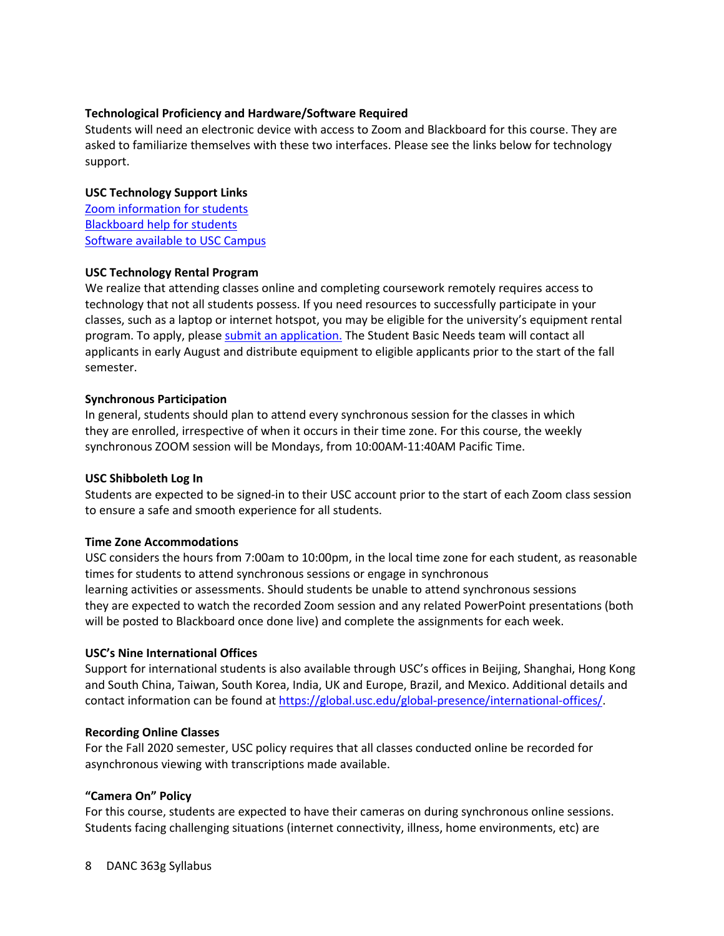## **Technological Proficiency and Hardware/Software Required**

Students will need an electronic device with access to Zoom and Blackboard for this course. They are asked to familiarize themselves with these two interfaces. Please see the links below for technology support.

## **USC Technology Support Links**

Zoom information for students Blackboard help for students Software available to USC Campus

#### **USC Technology Rental Program**

We realize that attending classes online and completing coursework remotely requires access to technology that not all students possess. If you need resources to successfully participate in your classes, such as a laptop or internet hotspot, you may be eligible for the university's equipment rental program. To apply, please submit an application. The Student Basic Needs team will contact all applicants in early August and distribute equipment to eligible applicants prior to the start of the fall semester.

#### **Synchronous Participation**

In general, students should plan to attend every synchronous session for the classes in which they are enrolled, irrespective of when it occurs in their time zone. For this course, the weekly synchronous ZOOM session will be Mondays, from 10:00AM-11:40AM Pacific Time.

## **USC Shibboleth Log In**

Students are expected to be signed-in to their USC account prior to the start of each Zoom class session to ensure a safe and smooth experience for all students.

## **Time Zone Accommodations**

USC considers the hours from 7:00am to 10:00pm, in the local time zone for each student, as reasonable times for students to attend synchronous sessions or engage in synchronous learning activities or assessments. Should students be unable to attend synchronous sessions they are expected to watch the recorded Zoom session and any related PowerPoint presentations (both will be posted to Blackboard once done live) and complete the assignments for each week.

## **USC's Nine International Offices**

Support for international students is also available through USC's offices in Beijing, Shanghai, Hong Kong and South China, Taiwan, South Korea, India, UK and Europe, Brazil, and Mexico. Additional details and contact information can be found at https://global.usc.edu/global-presence/international-offices/.

#### **Recording Online Classes**

For the Fall 2020 semester, USC policy requires that all classes conducted online be recorded for asynchronous viewing with transcriptions made available.

## **"Camera On" Policy**

For this course, students are expected to have their cameras on during synchronous online sessions. Students facing challenging situations (internet connectivity, illness, home environments, etc) are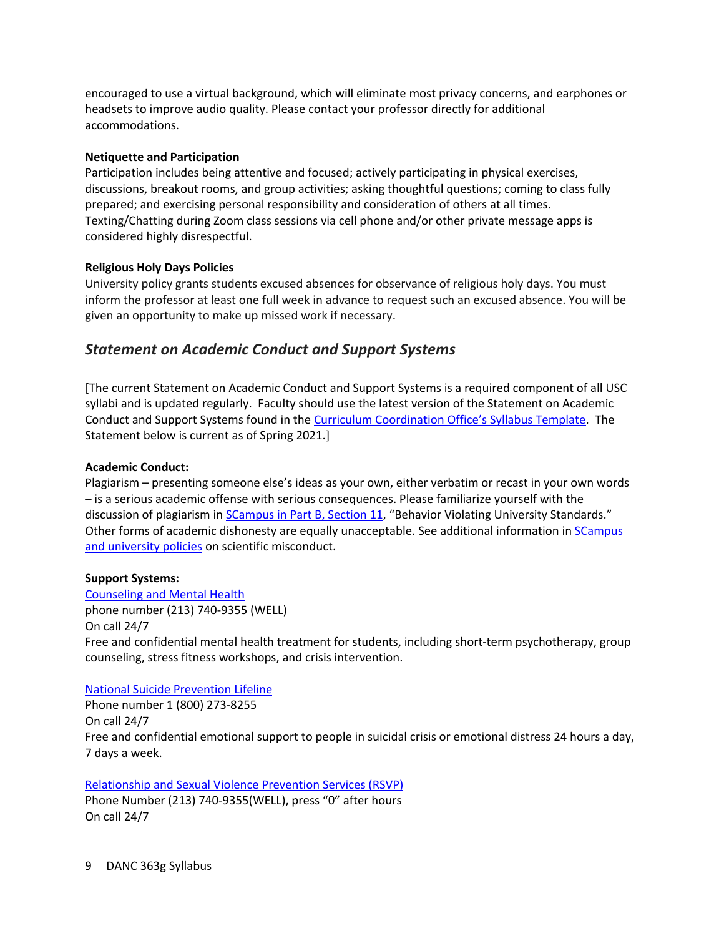encouraged to use a virtual background, which will eliminate most privacy concerns, and earphones or headsets to improve audio quality. Please contact your professor directly for additional accommodations.

#### **Netiquette and Participation**

Participation includes being attentive and focused; actively participating in physical exercises, discussions, breakout rooms, and group activities; asking thoughtful questions; coming to class fully prepared; and exercising personal responsibility and consideration of others at all times. Texting/Chatting during Zoom class sessions via cell phone and/or other private message apps is considered highly disrespectful.

## **Religious Holy Days Policies**

University policy grants students excused absences for observance of religious holy days. You must inform the professor at least one full week in advance to request such an excused absence. You will be given an opportunity to make up missed work if necessary.

## *Statement on Academic Conduct and Support Systems*

[The current Statement on Academic Conduct and Support Systems is a required component of all USC syllabi and is updated regularly. Faculty should use the latest version of the Statement on Academic Conduct and Support Systems found in the Curriculum Coordination Office's Syllabus Template. The Statement below is current as of Spring 2021.]

#### **Academic Conduct:**

Plagiarism – presenting someone else's ideas as your own, either verbatim or recast in your own words – is a serious academic offense with serious consequences. Please familiarize yourself with the discussion of plagiarism in SCampus in Part B, Section 11, "Behavior Violating University Standards." Other forms of academic dishonesty are equally unacceptable. See additional information in **SCampus** and university policies on scientific misconduct.

## **Support Systems:**

Counseling and Mental Health phone number (213) 740-9355 (WELL) On call 24/7 Free and confidential mental health treatment for students, including short-term psychotherapy, group counseling, stress fitness workshops, and crisis intervention.

## National Suicide Prevention Lifeline

Phone number 1 (800) 273-8255 On call 24/7 Free and confidential emotional support to people in suicidal crisis or emotional distress 24 hours a day, 7 days a week.

Relationship and Sexual Violence Prevention Services (RSVP)

Phone Number (213) 740-9355(WELL), press "0" after hours On call 24/7